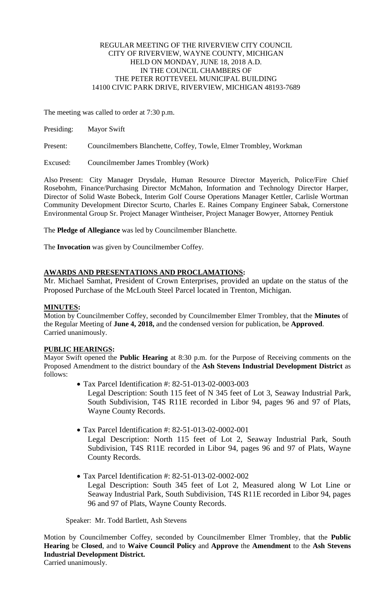# REGULAR MEETING OF THE RIVERVIEW CITY COUNCIL CITY OF RIVERVIEW, WAYNE COUNTY, MICHIGAN HELD ON MONDAY, JUNE 18, 2018 A.D. IN THE COUNCIL CHAMBERS OF THE PETER ROTTEVEEL MUNICIPAL BUILDING 14100 CIVIC PARK DRIVE, RIVERVIEW, MICHIGAN 48193-7689

The meeting was called to order at 7:30 p.m.

Present: Councilmembers Blanchette, Coffey, Towle, Elmer Trombley, Workman

Excused: Councilmember James Trombley (Work)

Also Present: City Manager Drysdale, Human Resource Director Mayerich, Police/Fire Chief Rosebohm, Finance/Purchasing Director McMahon, Information and Technology Director Harper, Director of Solid Waste Bobeck, Interim Golf Course Operations Manager Kettler, Carlisle Wortman Community Development Director Scurto, Charles E. Raines Company Engineer Sabak, Cornerstone Environmental Group Sr. Project Manager Wintheiser, Project Manager Bowyer, Attorney Pentiuk

The **Pledge of Allegiance** was led by Councilmember Blanchette.

The **Invocation** was given by Councilmember Coffey.

# **AWARDS AND PRESENTATIONS AND PROCLAMATIONS:**

Mr. Michael Samhat, President of Crown Enterprises, provided an update on the status of the Proposed Purchase of the McLouth Steel Parcel located in Trenton, Michigan.

# **MINUTES:**

Motion by Councilmember Coffey, seconded by Councilmember Elmer Trombley, that the **Minutes** of the Regular Meeting of **June 4, 2018,** and the condensed version for publication, be **Approved**. Carried unanimously.

# **PUBLIC HEARINGS:**

Mayor Swift opened the **Public Hearing** at 8:30 p.m. for the Purpose of Receiving comments on the Proposed Amendment to the district boundary of the **Ash Stevens Industrial Development District** as follows:

- Tax Parcel Identification #: 82-51-013-02-0003-003 Legal Description: South 115 feet of N 345 feet of Lot 3, Seaway Industrial Park, South Subdivision, T4S R11E recorded in Libor 94, pages 96 and 97 of Plats,
- Tax Parcel Identification #: 82-51-013-02-0002-001

Legal Description: North 115 feet of Lot 2, Seaway Industrial Park, South Subdivision, T4S R11E recorded in Libor 94, pages 96 and 97 of Plats, Wayne County Records.

 Tax Parcel Identification #: 82-51-013-02-0002-002 Legal Description: South 345 feet of Lot 2, Measured along W Lot Line or Seaway Industrial Park, South Subdivision, T4S R11E recorded in Libor 94, pages 96 and 97 of Plats, Wayne County Records.

Speaker: Mr. Todd Bartlett, Ash Stevens

Wayne County Records.

Motion by Councilmember Coffey, seconded by Councilmember Elmer Trombley, that the **Public Hearing** be **Closed**, and to **Waive Council Policy** and **Approve** the **Amendment** to the **Ash Stevens Industrial Development District.**

Carried unanimously.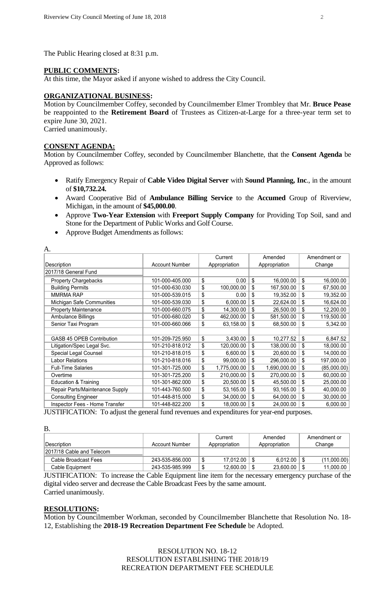The Public Hearing closed at 8:31 p.m.

# **PUBLIC COMMENTS:**

At this time, the Mayor asked if anyone wished to address the City Council.

## **ORGANIZATIONAL BUSINESS:**

Motion by Councilmember Coffey, seconded by Councilmember Elmer Trombley that Mr. **Bruce Pease** be reappointed to the **Retirement Board** of Trustees as Citizen-at-Large for a three-year term set to expire June 30, 2021. Carried unanimously.

### **CONSENT AGENDA:**

Motion by Councilmember Coffey, seconded by Councilmember Blanchette, that the **Consent Agenda** be Approved as follows:

- Ratify Emergency Repair of **Cable Video Digital Server** with **Sound Planning, Inc**., in the amount of **\$10,732.24.**
- Award Cooperative Bid of **Ambulance Billing Service** to the **Accumed** Group of Riverview, Michigan, in the amount of **\$45,000.00**.
- Approve **Two-Year Extension** with **Freeport Supply Company** for Providing Top Soil, sand and Stone for the Department of Public Works and Golf Course.
- Approve Budget Amendments as follows:

| A.                               |                       |               | Current      |               | Amended      |        | Amendment or |
|----------------------------------|-----------------------|---------------|--------------|---------------|--------------|--------|--------------|
| Description                      | <b>Account Number</b> | Appropriation |              | Appropriation |              | Change |              |
| 2017/18 General Fund             |                       |               |              |               |              |        |              |
| <b>Property Chargebacks</b>      | 101-000-405.000       | \$            | 0.00         | \$            | 16,000.00    | \$     | 16,000.00    |
| <b>Building Permits</b>          | 101-000-630.030       | \$            | 100,000.00   | \$            | 167,500.00   | \$     | 67,500.00    |
| <b>MMRMA RAP</b>                 | 101-000-539.015       | \$            | 0.00         | \$            | 19,352.00    | \$     | 19,352.00    |
| Michigan Safe Communities        | 101-000-539.030       | \$            | 6,000.00     | \$            | 22,624.00    | \$     | 16,624.00    |
| <b>Property Maintenance</b>      | 101-000-660.075       | \$            | 14,300.00    | \$            | 26,500.00    | \$     | 12,200.00    |
| Ambulance Billings               | 101-000-680.020       | \$            | 462,000.00   | \$            | 581,500.00   | \$     | 119,500.00   |
| Senior Taxi Program              | 101-000-660.066       | \$            | 63,158.00    | \$            | 68,500.00    | \$     | 5,342.00     |
|                                  |                       |               |              |               |              |        |              |
| <b>GASB 45 OPEB Contribution</b> | 101-209-725.950       | \$            | 3,430.00     | \$            | 10,277.52    | \$     | 6,847.52     |
| Litigation/Spec Legal Svc.       | 101-210-818.012       | \$            | 120,000.00   | \$            | 138,000.00   | \$     | 18,000.00    |
| Special Legal Counsel            | 101-210-818.015       | \$            | 6,600.00     | \$            | 20,600.00    | \$     | 14,000.00    |
| <b>Labor Relations</b>           | 101-210-818.016       | \$            | 99,000.00    | \$            | 296,000.00   | \$     | 197,000.00   |
| <b>Full-Time Salaries</b>        | 101-301-725.000       | \$            | 1,775,000.00 | \$            | 1,690,000.00 | \$     | (85,000.00)  |
| Overtime                         | 101-301-725.200       | \$            | 210,000.00   | \$            | 270,000.00   | \$     | 60,000.00    |
| <b>Education &amp; Training</b>  | 101-301-862.000       | \$            | 20,500.00    | \$            | 45,500.00    | \$     | 25,000.00    |
| Repair Parts/Maintenance Supply  | 101-443-760.500       | \$            | 53,165.00    | \$            | 93,165.00    | \$     | 40,000.00    |
| <b>Consulting Engineer</b>       | 101-448-815.000       | \$            | 34,000.00    | \$            | 64,000.00    | \$     | 30,000.00    |
| Inspector Fees - Home Transfer   | 101-448-822.200       | \$            | 18,000.00    | \$            | 24,000.00    | \$     | 6,000.00     |

JUSTIFICATION: To adjust the general fund revenues and expenditures for year-end purposes.

| Β.                         |                 |                        |               |              |
|----------------------------|-----------------|------------------------|---------------|--------------|
|                            |                 | Current                | Amended       | Amendment or |
| <i><b>IDescription</b></i> | Account Number  | Appropriation          | Appropriation | Change       |
| 2017/18 Cable and Telecom  |                 |                        |               |              |
| Cable Broadcast Fees       | 243-535-856.000 | \$<br>17.012.00        | 6.012.00      | (11,000.00)  |
| Cable Equipment            | 243-535-985.999 | \$<br>$12,600.00$   \$ | 23,600.00     | 11,000.00    |

JUSTIFICATION: To increase the Cable Equipment line item for the necessary emergency purchase of the digital video server and decrease the Cable Broadcast Fees by the same amount. Carried unanimously.

### **RESOLUTIONS:**

Motion by Councilmember Workman, seconded by Councilmember Blanchette that Resolution No. 18- 12, Establishing the **2018-19 Recreation Department Fee Schedule** be Adopted.

# RESOLUTION NO. 18-12 RESOLUTION ESTABLISHING THE 2018/19 RECREATION DEPARTMENT FEE SCHEDULE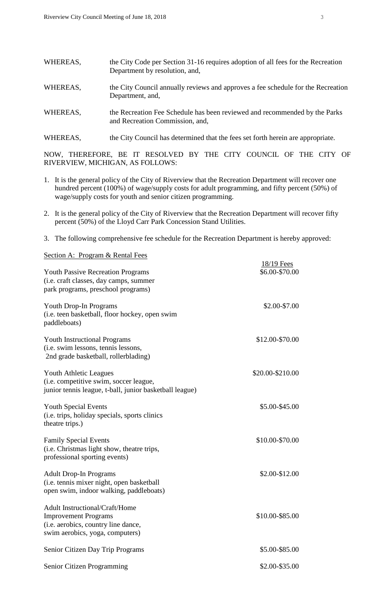| WHEREAS, | the City Code per Section 31-16 requires adoption of all fees for the Recreation<br>Department by resolution, and, |
|----------|--------------------------------------------------------------------------------------------------------------------|
| WHEREAS, | the City Council annually reviews and approves a fee schedule for the Recreation<br>Department, and,               |
| WHEREAS, | the Recreation Fee Schedule has been reviewed and recommended by the Parks<br>and Recreation Commission, and,      |

WHEREAS, the City Council has determined that the fees set forth herein are appropriate.

NOW, THEREFORE, BE IT RESOLVED BY THE CITY COUNCIL OF THE CITY OF RIVERVIEW, MICHIGAN, AS FOLLOWS:

- 1. It is the general policy of the City of Riverview that the Recreation Department will recover one hundred percent (100%) of wage/supply costs for adult programming, and fifty percent (50%) of wage/supply costs for youth and senior citizen programming.
- 2. It is the general policy of the City of Riverview that the Recreation Department will recover fifty percent (50%) of the Lloyd Carr Park Concession Stand Utilities.
- 3. The following comprehensive fee schedule for the Recreation Department is hereby approved:

| Section A: Program & Rental Fees                                                                                                               |                              |  |
|------------------------------------------------------------------------------------------------------------------------------------------------|------------------------------|--|
| <b>Youth Passive Recreation Programs</b><br>(i.e. craft classes, day camps, summer<br>park programs, preschool programs)                       | 18/19 Fees<br>\$6.00-\$70.00 |  |
| Youth Drop-In Programs<br>(i.e. teen basketball, floor hockey, open swim<br>paddleboats)                                                       | \$2.00-\$7.00                |  |
| <b>Youth Instructional Programs</b><br>(i.e. swim lessons, tennis lessons,<br>2nd grade basketball, rollerblading)                             | \$12.00-\$70.00              |  |
| Youth Athletic Leagues<br>(i.e. competitive swim, soccer league,<br>junior tennis league, t-ball, junior basketball league)                    | \$20.00-\$210.00             |  |
| <b>Youth Special Events</b><br>(i.e. trips, holiday specials, sports clinics<br>theatre trips.)                                                | \$5.00-\$45.00               |  |
| <b>Family Special Events</b><br>(i.e. Christmas light show, theatre trips,<br>professional sporting events)                                    | \$10.00-\$70.00              |  |
| <b>Adult Drop-In Programs</b><br>(i.e. tennis mixer night, open basketball<br>open swim, indoor walking, paddleboats)                          | \$2.00-\$12.00               |  |
| <b>Adult Instructional/Craft/Home</b><br><b>Improvement Programs</b><br>(i.e. aerobics, country line dance,<br>swim aerobics, yoga, computers) | \$10.00-\$85.00              |  |
| Senior Citizen Day Trip Programs                                                                                                               | \$5.00-\$85.00               |  |
| Senior Citizen Programming                                                                                                                     | \$2.00-\$35.00               |  |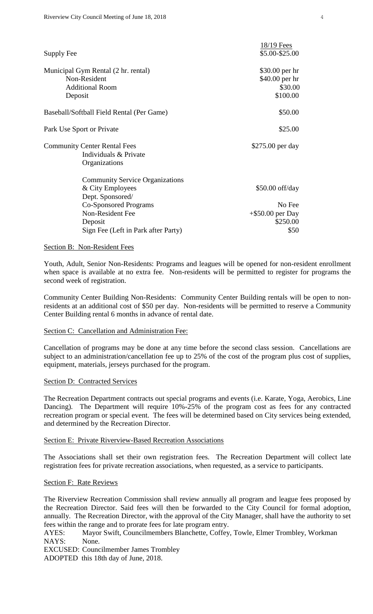| Supply Fee                                | $18/19$ Fees<br>\$5.00-\$25.00 |
|-------------------------------------------|--------------------------------|
| Municipal Gym Rental (2 hr. rental)       | \$30.00 per hr                 |
| Non-Resident                              | \$40.00 per hr                 |
| <b>Additional Room</b>                    | \$30.00                        |
| Deposit                                   | \$100.00                       |
| Baseball/Softball Field Rental (Per Game) | \$50.00                        |
| Park Use Sport or Private                 | \$25.00                        |
| <b>Community Center Rental Fees</b>       | \$275.00 per day               |
| Individuals & Private                     |                                |
| Organizations                             |                                |
| <b>Community Service Organizations</b>    |                                |
| & City Employees                          | $$50.00$ off/day               |
| Dept. Sponsored/                          |                                |
| <b>Co-Sponsored Programs</b>              | No Fee                         |
| Non-Resident Fee                          | $+$ \$50.00 per Day            |
| Deposit                                   | \$250.00                       |
| Sign Fee (Left in Park after Party)       | \$50                           |

#### Section B: Non-Resident Fees

Youth, Adult, Senior Non-Residents: Programs and leagues will be opened for non-resident enrollment when space is available at no extra fee. Non-residents will be permitted to register for programs the second week of registration.

Community Center Building Non-Residents: Community Center Building rentals will be open to nonresidents at an additional cost of \$50 per day. Non-residents will be permitted to reserve a Community Center Building rental 6 months in advance of rental date.

## Section C: Cancellation and Administration Fee:

Cancellation of programs may be done at any time before the second class session. Cancellations are subject to an administration/cancellation fee up to 25% of the cost of the program plus cost of supplies, equipment, materials, jerseys purchased for the program.

### Section D: Contracted Services

The Recreation Department contracts out special programs and events (i.e. Karate, Yoga, Aerobics, Line Dancing). The Department will require 10%-25% of the program cost as fees for any contracted recreation program or special event. The fees will be determined based on City services being extended, and determined by the Recreation Director.

#### Section E: Private Riverview-Based Recreation Associations

The Associations shall set their own registration fees. The Recreation Department will collect late registration fees for private recreation associations, when requested, as a service to participants.

#### Section F: Rate Reviews

The Riverview Recreation Commission shall review annually all program and league fees proposed by the Recreation Director. Said fees will then be forwarded to the City Council for formal adoption, annually. The Recreation Director, with the approval of the City Manager, shall have the authority to set fees within the range and to prorate fees for late program entry.

AYES: Mayor Swift, Councilmembers Blanchette, Coffey, Towle, Elmer Trombley, Workman NAYS: None.

EXCUSED: Councilmember James Trombley

ADOPTED this 18th day of June, 2018.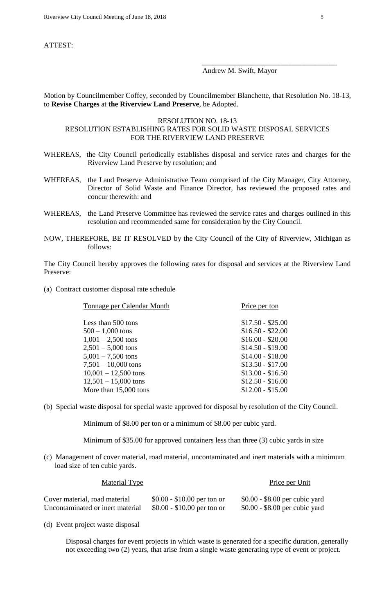ATTEST:

#### Andrew M. Swift, Mayor

 $\overline{\phantom{a}}$  ,  $\overline{\phantom{a}}$  ,  $\overline{\phantom{a}}$  ,  $\overline{\phantom{a}}$  ,  $\overline{\phantom{a}}$  ,  $\overline{\phantom{a}}$  ,  $\overline{\phantom{a}}$  ,  $\overline{\phantom{a}}$  ,  $\overline{\phantom{a}}$  ,  $\overline{\phantom{a}}$  ,  $\overline{\phantom{a}}$  ,  $\overline{\phantom{a}}$  ,  $\overline{\phantom{a}}$  ,  $\overline{\phantom{a}}$  ,  $\overline{\phantom{a}}$  ,  $\overline{\phantom{a}}$ 

Motion by Councilmember Coffey, seconded by Councilmember Blanchette, that Resolution No. 18-13, to **Revise Charges** at **the Riverview Land Preserve**, be Adopted.

### RESOLUTION NO. 18-13

# RESOLUTION ESTABLISHING RATES FOR SOLID WASTE DISPOSAL SERVICES FOR THE RIVERVIEW LAND PRESERVE

- WHEREAS, the City Council periodically establishes disposal and service rates and charges for the Riverview Land Preserve by resolution; and
- WHEREAS, the Land Preserve Administrative Team comprised of the City Manager, City Attorney, Director of Solid Waste and Finance Director, has reviewed the proposed rates and concur therewith: and
- WHEREAS, the Land Preserve Committee has reviewed the service rates and charges outlined in this resolution and recommended same for consideration by the City Council.
- NOW, THEREFORE, BE IT RESOLVED by the City Council of the City of Riverview, Michigan as follows:

The City Council hereby approves the following rates for disposal and services at the Riverview Land Preserve:

(a) Contract customer disposal rate schedule

| Tonnage per Calendar Month | Price per ton     |
|----------------------------|-------------------|
| Less than 500 tons         | $$17.50 - $25.00$ |
| $500 - 1,000$ tons         | $$16.50 - $22.00$ |
| $1,001 - 2,500$ tons       | $$16.00 - $20.00$ |
| $2,501 - 5,000$ tons       | $$14.50 - $19.00$ |
| $5,001 - 7,500$ tons       | $$14.00 - $18.00$ |
| $7,501 - 10,000$ tons      | $$13.50 - $17.00$ |
| $10,001 - 12,500$ tons     | $$13.00 - $16.50$ |
| $12,501 - 15,000$ tons     | $$12.50 - $16.00$ |
| More than 15,000 tons      | $$12.00 - $15.00$ |
|                            |                   |

(b) Special waste disposal for special waste approved for disposal by resolution of the City Council.

Minimum of \$8.00 per ton or a minimum of \$8.00 per cubic yard.

Minimum of \$35.00 for approved containers less than three (3) cubic yards in size

Material Type **Price per Unit** 

(c) Management of cover material, road material, uncontaminated and inert materials with a minimum load size of ten cubic yards.

| Cover material, road material    | $$0.00 - $10.00$ per ton or | $$0.00 - $8.00$ per cubic yard |
|----------------------------------|-----------------------------|--------------------------------|
| Uncontaminated or inert material | $$0.00 - $10.00$ per ton or | $$0.00 - $8.00$ per cubic yard |

(d) Event project waste disposal

Disposal charges for event projects in which waste is generated for a specific duration, generally not exceeding two (2) years, that arise from a single waste generating type of event or project.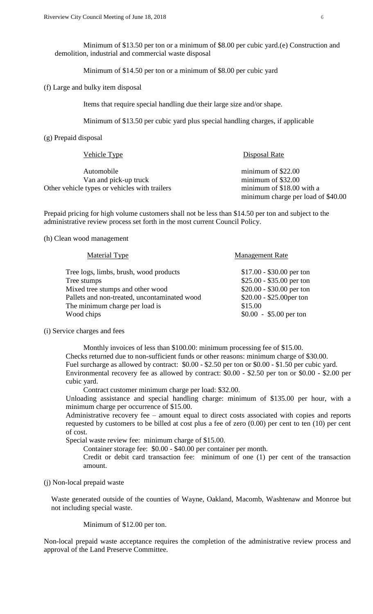Minimum of \$13.50 per ton or a minimum of \$8.00 per cubic yard.(e) Construction and demolition, industrial and commercial waste disposal

Minimum of \$14.50 per ton or a minimum of \$8.00 per cubic yard

(f) Large and bulky item disposal

Items that require special handling due their large size and/or shape.

Minimum of \$13.50 per cubic yard plus special handling charges, if applicable

(g) Prepaid disposal

| Vehicle Type                                  | Disposal Rate                      |
|-----------------------------------------------|------------------------------------|
| Automobile                                    | minimum of $$22.00$                |
| Van and pick-up truck                         | minimum of $$32.00$                |
| Other vehicle types or vehicles with trailers | minimum of \$18.00 with a          |
|                                               | minimum charge per load of \$40.00 |

Prepaid pricing for high volume customers shall not be less than \$14.50 per ton and subject to the administrative review process set forth in the most current Council Policy.

(h) Clean wood management

| Material Type                                | <b>Management Rate</b>    |
|----------------------------------------------|---------------------------|
| Tree logs, limbs, brush, wood products       | $$17.00 - $30.00$ per ton |
| Tree stumps                                  | $$25.00 - $35.00$ per ton |
| Mixed tree stumps and other wood             | $$20.00 - $30.00$ per ton |
| Pallets and non-treated, uncontaminated wood | \$20.00 - \$25.00 per ton |
| The minimum charge per load is               | \$15.00                   |
| Wood chips                                   | $$0.00 - $5.00$ per ton   |

(i) Service charges and fees

Monthly invoices of less than \$100.00: minimum processing fee of \$15.00. Checks returned due to non-sufficient funds or other reasons: minimum charge of \$30.00. Fuel surcharge as allowed by contract: \$0.00 - \$2.50 per ton or \$0.00 - \$1.50 per cubic yard. Environmental recovery fee as allowed by contract: \$0.00 - \$2.50 per ton or \$0.00 - \$2.00 per cubic yard.

Contract customer minimum charge per load: \$32.00.

Unloading assistance and special handling charge: minimum of \$135.00 per hour, with a minimum charge per occurrence of \$15.00.

Administrative recovery fee – amount equal to direct costs associated with copies and reports requested by customers to be billed at cost plus a fee of zero (0.00) per cent to ten (10) per cent of cost.

Special waste review fee: minimum charge of \$15.00.

Container storage fee: \$0.00 - \$40.00 per container per month.

Credit or debit card transaction fee: minimum of one (1) per cent of the transaction amount.

(j) Non-local prepaid waste

Waste generated outside of the counties of Wayne, Oakland, Macomb, Washtenaw and Monroe but not including special waste.

Minimum of \$12.00 per ton.

Non-local prepaid waste acceptance requires the completion of the administrative review process and approval of the Land Preserve Committee.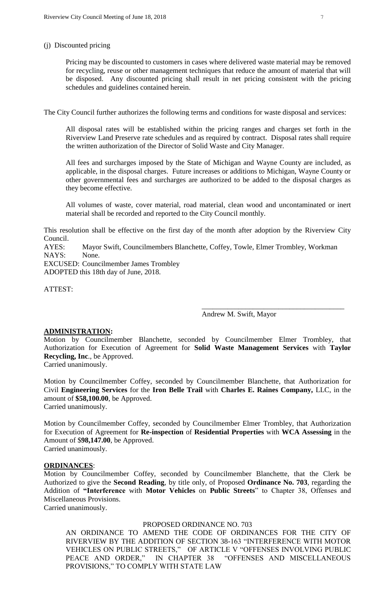### (j) Discounted pricing

Pricing may be discounted to customers in cases where delivered waste material may be removed for recycling, reuse or other management techniques that reduce the amount of material that will be disposed. Any discounted pricing shall result in net pricing consistent with the pricing schedules and guidelines contained herein.

The City Council further authorizes the following terms and conditions for waste disposal and services:

All disposal rates will be established within the pricing ranges and charges set forth in the Riverview Land Preserve rate schedules and as required by contract. Disposal rates shall require the written authorization of the Director of Solid Waste and City Manager.

All fees and surcharges imposed by the State of Michigan and Wayne County are included, as applicable, in the disposal charges. Future increases or additions to Michigan, Wayne County or other governmental fees and surcharges are authorized to be added to the disposal charges as they become effective.

All volumes of waste, cover material, road material, clean wood and uncontaminated or inert material shall be recorded and reported to the City Council monthly.

This resolution shall be effective on the first day of the month after adoption by the Riverview City Council.

AYES: Mayor Swift, Councilmembers Blanchette, Coffey, Towle, Elmer Trombley, Workman NAYS: None.

EXCUSED: Councilmember James Trombley ADOPTED this 18th day of June, 2018.

ATTEST:

Andrew M. Swift, Mayor

\_\_\_\_\_\_\_\_\_\_\_\_\_\_\_\_\_\_\_\_\_\_\_\_\_\_\_\_\_\_\_\_\_\_\_\_\_\_\_

## **ADMINISTRATION:**

Motion by Councilmember Blanchette, seconded by Councilmember Elmer Trombley, that Authorization for Execution of Agreement for **Solid Waste Management Services** with **Taylor Recycling, Inc**., be Approved.

Carried unanimously.

Motion by Councilmember Coffey, seconded by Councilmember Blanchette, that Authorization for Civil **Engineering Services** for the **Iron Belle Trail** with **Charles E. Raines Company,** LLC, in the amount of **\$58,100.00**, be Approved. Carried unanimously.

Motion by Councilmember Coffey, seconded by Councilmember Elmer Trombley, that Authorization for Execution of Agreement for **Re-inspection** of **Residential Properties** with **WCA Assessing** in the Amount of \$**98,147.00**, be Approved. Carried unanimously.

# **ORDINANCES**:

Motion by Councilmember Coffey, seconded by Councilmember Blanchette, that the Clerk be Authorized to give the **Second Reading**, by title only, of Proposed **Ordinance No. 703**, regarding the Addition of **"Interference** with **Motor Vehicles** on **Public Streets**" to Chapter 38, Offenses and Miscellaneous Provisions.

Carried unanimously.

#### PROPOSED ORDINANCE NO. 703

AN ORDINANCE TO AMEND THE CODE OF ORDINANCES FOR THE CITY OF RIVERVIEW BY THE ADDITION OF SECTION 38-163 "INTERFERENCE WITH MOTOR VEHICLES ON PUBLIC STREETS," OF ARTICLE V "OFFENSES INVOLVING PUBLIC PEACE AND ORDER," IN CHAPTER 38 "OFFENSES AND MISCELLANEOUS PROVISIONS," TO COMPLY WITH STATE LAW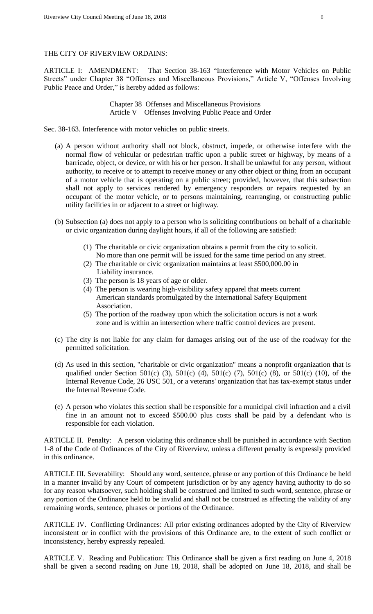## THE CITY OF RIVERVIEW ORDAINS:

ARTICLE I: AMENDMENT: That Section 38-163 "Interference with Motor Vehicles on Public Streets" under Chapter 38 "Offenses and Miscellaneous Provisions," Article V, "Offenses Involving Public Peace and Order," is hereby added as follows:

> Chapter 38 Offenses and Miscellaneous Provisions Article V Offenses Involving Public Peace and Order

Sec. 38-163. Interference with motor vehicles on public streets.

- (a) A person without authority shall not block, obstruct, impede, or otherwise interfere with the normal flow of vehicular or pedestrian traffic upon a public street or highway, by means of a barricade, object, or device, or with his or her person. It shall be unlawful for any person, without authority, to receive or to attempt to receive money or any other object or thing from an occupant of a motor vehicle that is operating on a public street; provided, however, that this subsection shall not apply to services rendered by emergency responders or repairs requested by an occupant of the motor vehicle, or to persons maintaining, rearranging, or constructing public utility facilities in or adjacent to a street or highway.
- (b) Subsection (a) does not apply to a person who is soliciting contributions on behalf of a charitable or civic organization during daylight hours, if all of the following are satisfied:
	- (1) The charitable or civic organization obtains a permit from the city to solicit. No more than one permit will be issued for the same time period on any street.
	- (2) The charitable or civic organization maintains at least \$500,000.00 in Liability insurance.
	- (3) The person is 18 years of age or older.
	- (4) The person is wearing high-visibility safety apparel that meets current American standards promulgated by the International Safety Equipment Association.
	- (5) The portion of the roadway upon which the solicitation occurs is not a work zone and is within an intersection where traffic control devices are present.
- (c) The city is not liable for any claim for damages arising out of the use of the roadway for the permitted solicitation.
- (d) As used in this section, "charitable or civic organization" means a nonprofit organization that is qualified under Section 501(c) (3), 501(c) (4), 501(c) (7), 501(c) (8), or 501(c) (10), of the Internal Revenue Code, 26 USC 501, or a veterans' organization that has tax-exempt status under the Internal Revenue Code.
- (e) A person who violates this section shall be responsible for a municipal civil infraction and a civil fine in an amount not to exceed \$500.00 plus costs shall be paid by a defendant who is responsible for each violation.

ARTICLE II. Penalty: A person violating this ordinance shall be punished in accordance with Section 1-8 of the Code of Ordinances of the City of Riverview, unless a different penalty is expressly provided in this ordinance.

ARTICLE III. Severability: Should any word, sentence, phrase or any portion of this Ordinance be held in a manner invalid by any Court of competent jurisdiction or by any agency having authority to do so for any reason whatsoever, such holding shall be construed and limited to such word, sentence, phrase or any portion of the Ordinance held to be invalid and shall not be construed as affecting the validity of any remaining words, sentence, phrases or portions of the Ordinance.

ARTICLE IV. Conflicting Ordinances: All prior existing ordinances adopted by the City of Riverview inconsistent or in conflict with the provisions of this Ordinance are, to the extent of such conflict or inconsistency, hereby expressly repealed.

ARTICLE V. Reading and Publication: This Ordinance shall be given a first reading on June 4, 2018 shall be given a second reading on June 18, 2018, shall be adopted on June 18, 2018, and shall be